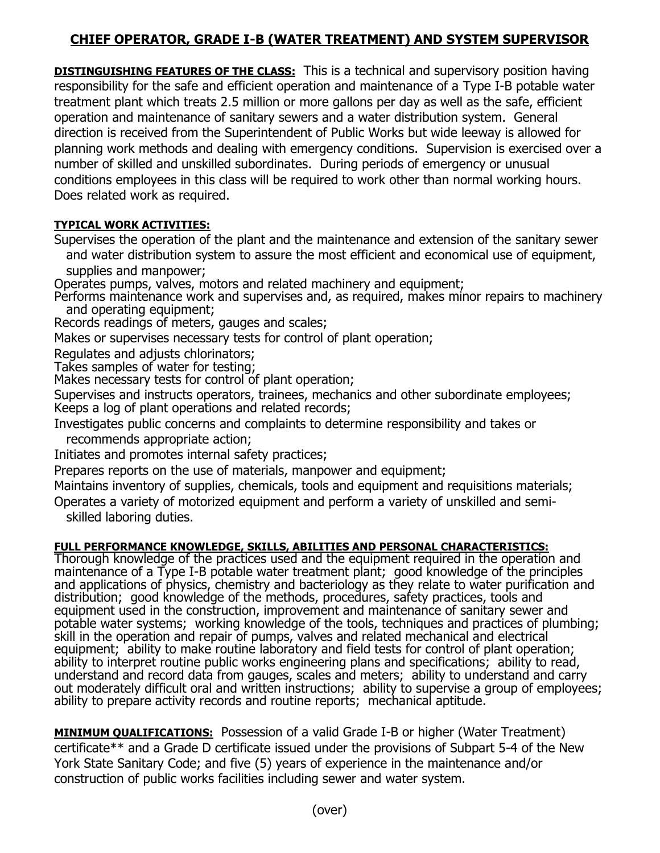## **CHIEF OPERATOR, GRADE I-B (WATER TREATMENT) AND SYSTEM SUPERVISOR**

**DISTINGUISHING FEATURES OF THE CLASS:** This is a technical and supervisory position having responsibility for the safe and efficient operation and maintenance of a Type I-B potable water treatment plant which treats 2.5 million or more gallons per day as well as the safe, efficient operation and maintenance of sanitary sewers and a water distribution system. General direction is received from the Superintendent of Public Works but wide leeway is allowed for planning work methods and dealing with emergency conditions. Supervision is exercised over a number of skilled and unskilled subordinates. During periods of emergency or unusual conditions employees in this class will be required to work other than normal working hours. Does related work as required.

## **TYPICAL WORK ACTIVITIES:**

Supervises the operation of the plant and the maintenance and extension of the sanitary sewer and water distribution system to assure the most efficient and economical use of equipment, supplies and manpower;

Operates pumps, valves, motors and related machinery and equipment;

Performs maintenance work and supervises and, as required, makes minor repairs to machinery and operating equipment;

Records readings of meters, gauges and scales;

Makes or supervises necessary tests for control of plant operation;

Regulates and adjusts chlorinators;

Takes samples of water for testing;

Makes necessary tests for control of plant operation;

Supervises and instructs operators, trainees, mechanics and other subordinate employees; Keeps a log of plant operations and related records;

Investigates public concerns and complaints to determine responsibility and takes or

recommends appropriate action;

Initiates and promotes internal safety practices;

Prepares reports on the use of materials, manpower and equipment;

Maintains inventory of supplies, chemicals, tools and equipment and requisitions materials;

Operates a variety of motorized equipment and perform a variety of unskilled and semi skilled laboring duties.

## **FULL PERFORMANCE KNOWLEDGE, SKILLS, ABILITIES AND PERSONAL CHARACTERISTICS:**

Thorough knowledge of the practices used and the equipment required in the operation and maintenance of a Type I-B potable water treatment plant; good knowledge of the principles and applications of physics, chemistry and bacteriology as they relate to water purification and distribution; good knowledge of the methods, procedures, safety practices, tools and equipment used in the construction, improvement and maintenance of sanitary sewer and potable water systems; working knowledge of the tools, techniques and practices of plumbing; skill in the operation and repair of pumps, valves and related mechanical and electrical equipment; ability to make routine laboratory and field tests for control of plant operation; ability to interpret routine public works engineering plans and specifications; ability to read, understand and record data from gauges, scales and meters; ability to understand and carry out moderately difficult oral and written instructions; ability to supervise a group of employees; ability to prepare activity records and routine reports; mechanical aptitude.

**MINIMUM QUALIFICATIONS:** Possession of a valid Grade I-B or higher (Water Treatment) certificate\*\* and a Grade D certificate issued under the provisions of Subpart 5-4 of the New York State Sanitary Code; and five (5) years of experience in the maintenance and/or construction of public works facilities including sewer and water system.